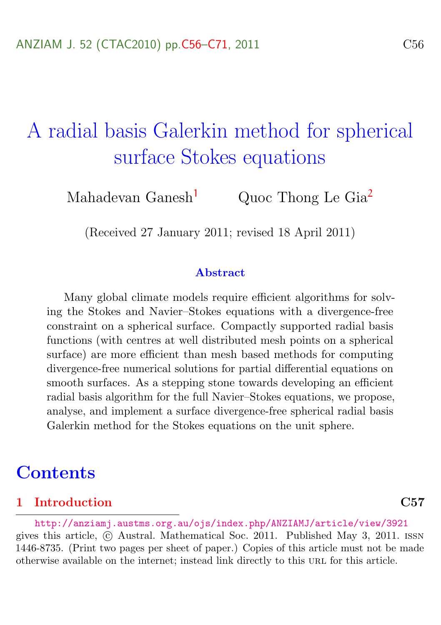# <span id="page-0-0"></span>A radial basis Galerkin method for spherical surface Stokes equations

Mahadevan Ganesh<sup>[1](#page-15-1)</sup> Quoc Thong Le Gia<sup>[2](#page-15-0)</sup>

(Received 27 January 2011; revised 18 April 2011)

#### Abstract

Many global climate models require efficient algorithms for solving the Stokes and Navier–Stokes equations with a divergence-free constraint on a spherical surface. Compactly supported radial basis functions (with centres at well distributed mesh points on a spherical surface) are more efficient than mesh based methods for computing divergence-free numerical solutions for partial differential equations on smooth surfaces. As a stepping stone towards developing an efficient radial basis algorithm for the full Navier–Stokes equations, we propose, analyse, and implement a surface divergence-free spherical radial basis Galerkin method for the Stokes equations on the unit sphere.

## **Contents**

#### [1 Introduction](#page-1-0) C57

<http://anziamj.austms.org.au/ojs/index.php/ANZIAMJ/article/view/3921> gives this article, © Austral. Mathematical Soc. 2011. Published May 3, 2011. ISSN 1446-8735. (Print two pages per sheet of paper.) Copies of this article must not be made otherwise available on the internet; instead link directly to this url for this article.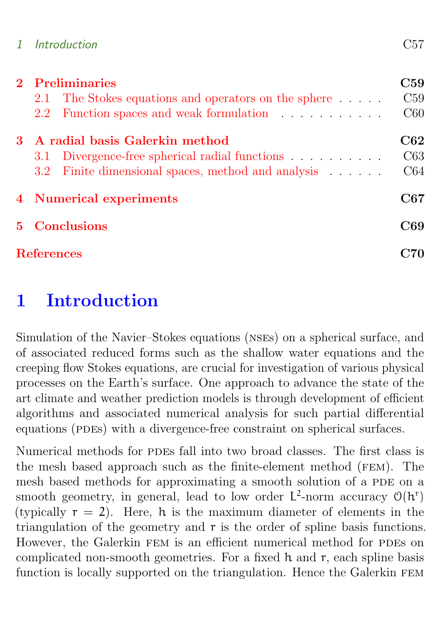| 1 Introduction | C57 |
|----------------|-----|
|----------------|-----|

|    | 2 Preliminaries   |                                                    |             |  |  |  |
|----|-------------------|----------------------------------------------------|-------------|--|--|--|
|    | 2.1               | The Stokes equations and operators on the sphere   | C59         |  |  |  |
|    | 2.2 <sub>1</sub>  | Function spaces and weak formulation               | C60         |  |  |  |
| 3. |                   | A radial basis Galerkin method                     | ${\rm C62}$ |  |  |  |
|    |                   | 3.1 Divergence-free spherical radial functions     | C63         |  |  |  |
|    |                   | 3.2 Finite dimensional spaces, method and analysis | C64         |  |  |  |
|    |                   | 4 Numerical experiments                            | C67         |  |  |  |
|    | 5 Conclusions     |                                                    |             |  |  |  |
|    | <b>References</b> |                                                    |             |  |  |  |

## <span id="page-1-0"></span>1 Introduction

Simulation of the Navier–Stokes equations (NSEs) on a spherical surface, and of associated reduced forms such as the shallow water equations and the creeping flow Stokes equations, are crucial for investigation of various physical processes on the Earth's surface. One approach to advance the state of the art climate and weather prediction models is through development of efficient algorithms and associated numerical analysis for such partial differential equations (PDEs) with a divergence-free constraint on spherical surfaces.

Numerical methods for PDEs fall into two broad classes. The first class is the mesh based approach such as the finite-element method (fem). The mesh based methods for approximating a smooth solution of a PDE on a smooth geometry, in general, lead to low order  $L^2$ -norm accuracy  $O(h^r)$ (typically  $r = 2$ ). Here, h is the maximum diameter of elements in the triangulation of the geometry and r is the order of spline basis functions. However, the Galerkin FEM is an efficient numerical method for PDEs on complicated non-smooth geometries. For a fixed h and r, each spline basis function is locally supported on the triangulation. Hence the Galerkin FEM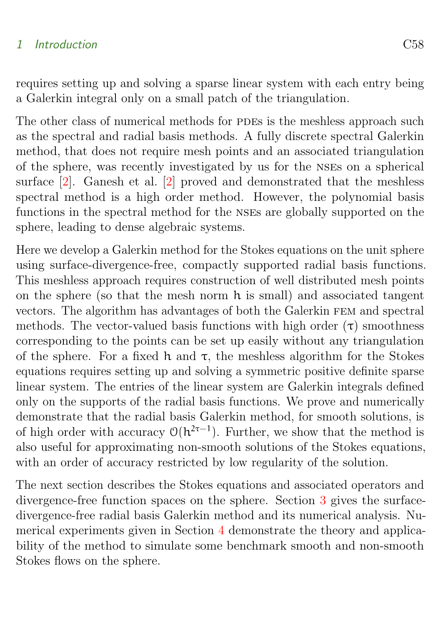#### <span id="page-2-0"></span>1 Introduction C58

requires setting up and solving a sparse linear system with each entry being a Galerkin integral only on a small patch of the triangulation.

The other class of numerical methods for PDEs is the meshless approach such as the spectral and radial basis methods. A fully discrete spectral Galerkin method, that does not require mesh points and an associated triangulation of the sphere, was recently investigated by us for the nses on a spherical surface [\[2\]](#page-14-1). Ganesh et al. [\[2\]](#page-14-1) proved and demonstrated that the meshless spectral method is a high order method. However, the polynomial basis functions in the spectral method for the nses are globally supported on the sphere, leading to dense algebraic systems.

Here we develop a Galerkin method for the Stokes equations on the unit sphere using surface-divergence-free, compactly supported radial basis functions. This meshless approach requires construction of well distributed mesh points on the sphere (so that the mesh norm h is small) and associated tangent vectors. The algorithm has advantages of both the Galerkin fem and spectral methods. The vector-valued basis functions with high order  $(\tau)$  smoothness corresponding to the points can be set up easily without any triangulation of the sphere. For a fixed h and  $\tau$ , the meshless algorithm for the Stokes equations requires setting up and solving a symmetric positive definite sparse linear system. The entries of the linear system are Galerkin integrals defined only on the supports of the radial basis functions. We prove and numerically demonstrate that the radial basis Galerkin method, for smooth solutions, is of high order with accuracy  $O(h^{2\tau-1})$ . Further, we show that the method is also useful for approximating non-smooth solutions of the Stokes equations, with an order of accuracy restricted by low regularity of the solution.

The next section describes the Stokes equations and associated operators and divergence-free function spaces on the sphere. Section [3](#page-6-0) gives the surfacedivergence-free radial basis Galerkin method and its numerical analysis. Numerical experiments given in Section [4](#page-11-0) demonstrate the theory and applicability of the method to simulate some benchmark smooth and non-smooth Stokes flows on the sphere.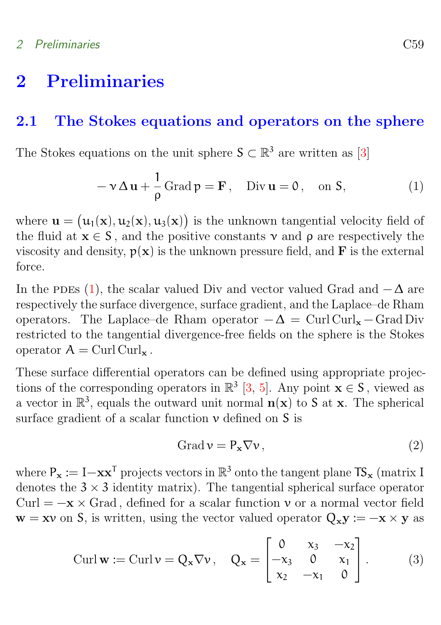## <span id="page-3-3"></span><span id="page-3-0"></span>2 Preliminaries

## <span id="page-3-1"></span>2.1 The Stokes equations and operators on the sphere

The Stokes equations on the unit sphere  $\mathsf{S} \subset \mathbb{R}^3$  are written as [\[3\]](#page-14-2)

<span id="page-3-2"></span>
$$
-\mathbf{v}\,\Delta\,\mathbf{u} + \frac{1}{\rho}\,\text{Grad}\,\mathbf{p} = \mathbf{F}\,,\quad \text{Div}\,\mathbf{u} = 0\,,\quad \text{on } \mathsf{S},\tag{1}
$$

where  $\mathbf{u} = (\mathbf{u}_1(\mathbf{x}), \mathbf{u}_2(\mathbf{x}), \mathbf{u}_3(\mathbf{x}))$  is the unknown tangential velocity field of the fluid at  $x \in S$ , and the positive constants  $\nu$  and  $\rho$  are respectively the viscosity and density,  $p(x)$  is the unknown pressure field, and **F** is the external force.

In the PDEs [\(1\)](#page-3-2), the scalar valued Div and vector valued Grad and  $-\Delta$  are respectively the surface divergence, surface gradient, and the Laplace–de Rham operators. The Laplace–de Rham operator  $-\Delta = \text{Curl}\,\text{Curl}_{\mathbf{x}} - \text{Grad}$  Div restricted to the tangential divergence-free fields on the sphere is the Stokes operator  $A = Curl$  Curl<sub>x</sub>.

These surface differential operators can be defined using appropriate projections of the corresponding operators in  $\mathbb{R}^3$  [\[3,](#page-14-2) [5\]](#page-15-2). Any point  $\mathbf{x} \in \mathbb{S}$ , viewed as a vector in  $\mathbb{R}^3$ , equals the outward unit normal  $n(x)$  to S at x. The spherical surface gradient of a scalar function  $\nu$  defined on  $S$  is

$$
Grad \nu = P_{\mathbf{x}} \nabla \nu, \qquad (2)
$$

where  $P_x := I - xx^T$  projects vectors in  $\mathbb{R}^3$  onto the tangent plane  $TS_x$  (matrix I denotes the  $3 \times 3$  identity matrix). The tangential spherical surface operator Curl =  $-x \times$  Grad, defined for a scalar function v or a normal vector field  $\mathbf{w} = \mathbf{x} \mathbf{v}$  on S, is written, using the vector valued operator  $Q_x \mathbf{y} := -\mathbf{x} \times \mathbf{y}$  as

$$
\text{Curl}\,\mathbf{w} := \text{Curl}\,\mathbf{v} = \mathbf{Q_x}\nabla\mathbf{v}, \quad \mathbf{Q_x} = \begin{bmatrix} 0 & x_3 & -x_2 \\ -x_3 & 0 & x_1 \\ x_2 & -x_1 & 0 \end{bmatrix}. \tag{3}
$$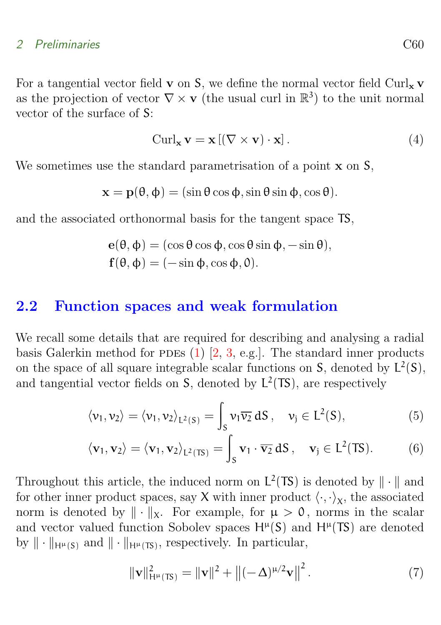### <span id="page-4-2"></span>2 Preliminaries C60

For a tangential vector field **v** on **S**, we define the normal vector field  $\text{Curl}_x$  **v** as the projection of vector  $\nabla \times \mathbf{v}$  (the usual curl in  $\mathbb{R}^3$ ) to the unit normal vector of the surface of S:

$$
Curl_{\mathbf{x}}\mathbf{v} = \mathbf{x} \left[ (\nabla \times \mathbf{v}) \cdot \mathbf{x} \right]. \tag{4}
$$

We sometimes use the standard parametrisation of a point **x** on S,

$$
\mathbf{x} = \mathbf{p}(\theta, \phi) = (\sin \theta \cos \phi, \sin \theta \sin \phi, \cos \theta).
$$

and the associated orthonormal basis for the tangent space TS,

$$
\begin{aligned} \mathbf{e}(\theta, \phi) &= (\cos \theta \cos \phi, \cos \theta \sin \phi, -\sin \theta), \\ \mathbf{f}(\theta, \phi) &= (-\sin \phi, \cos \phi, 0). \end{aligned}
$$

### <span id="page-4-0"></span>2.2 Function spaces and weak formulation

We recall some details that are required for describing and analysing a radial basis Galerkin method for PDEs  $(1)$   $[2, 3, e.g.]$  $[2, 3, e.g.]$  $[2, 3, e.g.]$  $[2, 3, e.g.]$ . The standard inner products on the space of all square integrable scalar functions on  $S$ , denoted by  $L^2(S)$ , and tangential vector fields on  $S$ , denoted by  $L^2(TS)$ , are respectively

$$
\langle \nu_1, \nu_2 \rangle = \langle \nu_1, \nu_2 \rangle_{L^2(S)} = \int_S \nu_1 \overline{\nu_2} \, dS \,, \quad \nu_j \in L^2(S), \tag{5}
$$

$$
\langle \mathbf{v}_1, \mathbf{v}_2 \rangle = \langle \mathbf{v}_1, \mathbf{v}_2 \rangle_{L^2(TS)} = \int_S \mathbf{v}_1 \cdot \overline{\mathbf{v}_2} \, dS \,, \quad \mathbf{v}_j \in L^2(TS). \tag{6}
$$

Throughout this article, the induced norm on  $L^2(TS)$  is denoted by  $\|\cdot\|$  and for other inner product spaces, say **X** with inner product  $\langle \cdot, \cdot \rangle_{\mathsf{X}}$ , the associated norm is denoted by  $\|\cdot\|_X$ . For example, for  $\mu > 0$ , norms in the scalar and vector valued function Sobolev spaces  $H^{\mu}(S)$  and  $H^{\mu}(TS)$  are denoted by  $\|\cdot\|_{H^{\mu}(S)}$  and  $\|\cdot\|_{H^{\mu}(TS)}$ , respectively. In particular,

<span id="page-4-1"></span>
$$
\|\mathbf{v}\|_{\mathsf{H}^{\mu}(\mathsf{T}\mathsf{S})}^{2} = \|\mathbf{v}\|^{2} + \left\|(-\Delta)^{\mu/2}\mathbf{v}\right\|^{2}.
$$
 (7)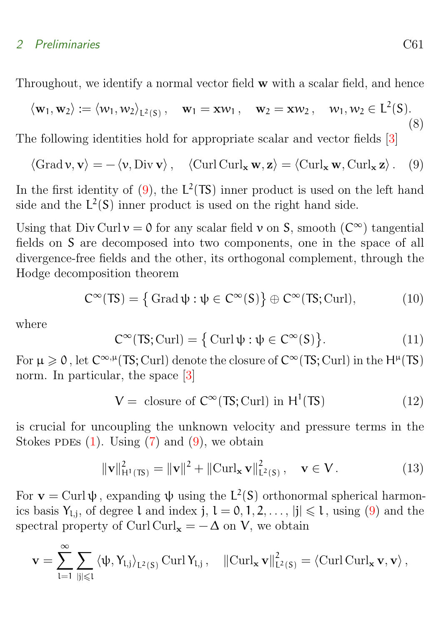### <span id="page-5-2"></span>2 Preliminaries C61

Throughout, we identify a normal vector field w with a scalar field, and hence

$$
\langle \mathbf{w}_1, \mathbf{w}_2 \rangle := \langle w_1, w_2 \rangle_{L^2(S)}, \quad \mathbf{w}_1 = \mathbf{x} w_1, \quad \mathbf{w}_2 = \mathbf{x} w_2, \quad w_1, w_2 \in L^2(S).
$$
\n
$$
(8)
$$

The following identities hold for appropriate scalar and vector fields [\[3\]](#page-14-2)

<span id="page-5-0"></span>
$$
\langle \operatorname{Grad} \mathbf{v}, \mathbf{v} \rangle = -\langle \mathbf{v}, \operatorname{Div} \mathbf{v} \rangle, \quad \langle \operatorname{Curl} \operatorname{Curl}_{\mathbf{x}} \mathbf{w}, \mathbf{z} \rangle = \langle \operatorname{Curl}_{\mathbf{x}} \mathbf{w}, \operatorname{Curl}_{\mathbf{x}} \mathbf{z} \rangle. \tag{9}
$$

In the first identity of  $(9)$ , the L<sup>2</sup>(TS) inner product is used on the left hand side and the  $L^2(S)$  inner product is used on the right hand side.

Using that Div Curl  $v = 0$  for any scalar field v on S, smooth  $(C^{\infty})$  tangential fields on S are decomposed into two components, one in the space of all divergence-free fields and the other, its orthogonal complement, through the Hodge decomposition theorem

$$
C^{\infty}(TS) = \{ \operatorname{Grad} \psi : \psi \in C^{\infty}(S) \} \oplus C^{\infty}(TS; \operatorname{Curl}), \tag{10}
$$

where

$$
C^{\infty}(TS; \text{Curl}) = \{ \text{Curl}\,\psi : \psi \in C^{\infty}(S) \}. \tag{11}
$$

For  $\mu \geq 0$ , let  $C^{\infty,\mu}(\mathsf{TS};\mathrm{Curl})$  denote the closure of  $C^{\infty}(\mathsf{TS};\mathrm{Curl})$  in the  $\mathsf{H}^{\mu}(\mathsf{TS})$ norm. In particular, the space [\[3\]](#page-14-2)

$$
V = \text{ closure of } C^{\infty}(\text{TS}; \text{Curl}) \text{ in } H^{1}(\text{TS}) \tag{12}
$$

is crucial for uncoupling the unknown velocity and pressure terms in the Stokes PDEs  $(1)$ . Using  $(7)$  and  $(9)$ , we obtain

<span id="page-5-1"></span>
$$
\|\mathbf{v}\|_{\mathbf{H}^{1}(\mathbb{T}\mathbf{S})}^{2} = \|\mathbf{v}\|^{2} + \|\mathrm{Curl}_{\mathbf{x}}\,\mathbf{v}\|_{\mathbf{L}^{2}(\mathbf{S})}^{2}, \quad \mathbf{v} \in \mathbf{V}. \tag{13}
$$

For  $\mathbf{v} = \text{Curl}\,\psi$ , expanding  $\psi$  using the  $L^2(S)$  orthonormal spherical harmonics basis  $Y_{l,j}$ , of degree l and index j,  $l = 0, 1, 2, \ldots$ ,  $|j| \leq l$ , using [\(9\)](#page-5-0) and the spectral property of Curl Curl<sub>x</sub> =  $-\Delta$  on V, we obtain

$$
\mathbf{v} = \sum_{l=1}^{\infty} \sum_{|j| \leqslant l} \left\langle \psi, Y_{l,j} \right\rangle_{L^2(S)} \operatorname{Curl} Y_{l,j}, \quad \left\| \operatorname{Curl}_{\mathbf{x}} \mathbf{v} \right\|_{L^2(S)}^2 = \left\langle \operatorname{Curl} \operatorname{Curl}_{\mathbf{x}} \mathbf{v}, \mathbf{v} \right\rangle,
$$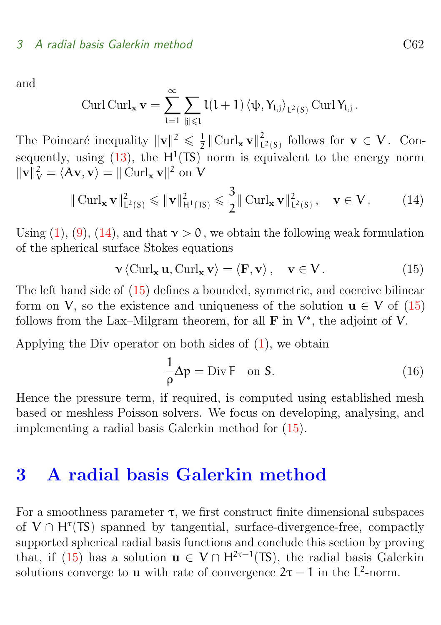and

$$
\operatorname{Curl}\operatorname{Curl}_{\mathbf{x}}\mathbf{v}=\sum_{l=1}^{\infty}\sum_{|j|\leqslant l}l(l+1)\left\langle \psi,Y_{l,j}\right\rangle _{L^{2}(S)}\operatorname{Curl}Y_{l,j}\,.
$$

The Poincaré inequality  $\|\mathbf{v}\|^2 \leq \frac{1}{2}$  $\frac{1}{2}$   $\left\|\mathrm{Curl}_{\mathbf{x}}\mathbf{v}\right\|_{\mathrm{L}}^{2}$  $\zeta_{L^2(S)}$  follows for  $\mathbf{v} \in V$ . Consequently, using  $(13)$ , the H<sup>1</sup>(TS) norm is equivalent to the energy norm  $\|\mathbf{v}\|_{\mathbf{V}}^2 = \langle \mathbf{A}\mathbf{v}, \mathbf{v} \rangle = \|\mathbf{Curl}_{\mathbf{x}} \mathbf{v}\|^2$  on V

<span id="page-6-1"></span>
$$
\|\operatorname{Curl}_{\mathbf{x}} \mathbf{v}\|_{L^{2}(S)}^{2} \leqslant \|\mathbf{v}\|_{H^{1}(TS)}^{2} \leqslant \frac{3}{2} \|\operatorname{Curl}_{\mathbf{x}} \mathbf{v}\|_{L^{2}(S)}^{2}, \quad \mathbf{v} \in V. \tag{14}
$$

Using [\(1\)](#page-3-2), [\(9\)](#page-5-0), [\(14\)](#page-6-1), and that  $v > 0$ , we obtain the following weak formulation of the spherical surface Stokes equations

<span id="page-6-2"></span>
$$
\mathbf{v} \langle \operatorname{Curl}_{\mathbf{x}} \mathbf{u}, \operatorname{Curl}_{\mathbf{x}} \mathbf{v} \rangle = \langle \mathbf{F}, \mathbf{v} \rangle, \quad \mathbf{v} \in \mathbf{V}.
$$
 (15)

The left hand side of [\(15\)](#page-6-2) defines a bounded, symmetric, and coercive bilinear form on V, so the existence and uniqueness of the solution  $u \in V$  of [\(15\)](#page-6-2) follows from the Lax–Milgram theorem, for all  $\bf{F}$  in  $V^*$ , the adjoint of V.

Applying the Div operator on both sides of [\(1\)](#page-3-2), we obtain

$$
\frac{1}{\rho} \Delta p = \text{Div } F \quad \text{on } S. \tag{16}
$$

Hence the pressure term, if required, is computed using established mesh based or meshless Poisson solvers. We focus on developing, analysing, and implementing a radial basis Galerkin method for [\(15\)](#page-6-2).

## <span id="page-6-0"></span>3 A radial basis Galerkin method

For a smoothness parameter  $\tau$ , we first construct finite dimensional subspaces of  $V \cap H^{\tau}(TS)$  spanned by tangential, surface-divergence-free, compactly supported spherical radial basis functions and conclude this section by proving that, if [\(15\)](#page-6-2) has a solution  $u \in V \cap H^{2\tau-1}(TS)$ , the radial basis Galerkin solutions converge to **u** with rate of convergence  $2\tau - 1$  in the L<sup>2</sup>-norm.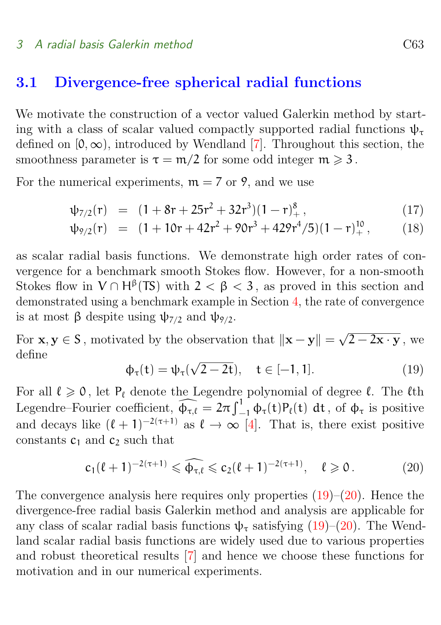### <span id="page-7-4"></span><span id="page-7-0"></span>3.1 Divergence-free spherical radial functions

We motivate the construction of a vector valued Galerkin method by starting with a class of scalar valued compactly supported radial functions  $\psi_{\tau}$ defined on  $[0, \infty)$ , introduced by Wendland [\[7\]](#page-15-3). Throughout this section, the smoothness parameter is  $\tau = m/2$  for some odd integer  $m \geq 3$ .

For the numerical experiments,  $m = 7$  or 9, and we use

$$
\psi_{7/2}(r) = (1 + 8r + 25r^2 + 32r^3)(1 - r)_+^8, \tag{17}
$$

<span id="page-7-3"></span>
$$
\psi_{9/2}(r) = (1 + 10r + 42r^2 + 90r^3 + 429r^4/5)(1 - r)_+^{10}, \qquad (18)
$$

as scalar radial basis functions. We demonstrate high order rates of convergence for a benchmark smooth Stokes flow. However, for a non-smooth Stokes flow in  $V \cap H^{\beta}(TS)$  with  $2 < \beta < 3$ , as proved in this section and demonstrated using a benchmark example in Section [4,](#page-11-0) the rate of convergence is at most β despite using  $\psi_{7/2}$  and  $\psi_{9/2}$ .

For  $x, y \in S$ , motivated by the observation that  $||x - y|| =$ √  $2-2\mathbf{x}\cdot \mathbf{y}$  , we define √

<span id="page-7-1"></span>
$$
\Phi_{\tau}(t) = \psi_{\tau}(\sqrt{2 - 2t}), \quad t \in [-1, 1]. \tag{19}
$$

For all  $\ell \geq 0$ , let  $P_\ell$  denote the Legendre polynomial of degree  $\ell$ . The  $\ell$ th Legendre–Fourier coefficient,  $\widehat{\phi_{\tau,\ell}} = 2\pi \int_{-1}^{1} \phi_{\tau}(t)P_{\ell}(t) dt$ , of  $\phi_{\tau}$  is positive and decays like  $(\ell + 1)^{-2(\tau+1)}$  as  $\ell \to \infty$  [\[4\]](#page-15-4). That is, there exist positive constants  $c_1$  and  $c_2$  such that

<span id="page-7-2"></span>
$$
c_1(\ell+1)^{-2(\tau+1)} \leq \widehat{\Phi_{\tau,\ell}} \leq c_2(\ell+1)^{-2(\tau+1)}, \quad \ell \geq 0. \tag{20}
$$

The convergence analysis here requires only properties  $(19)$ – $(20)$ . Hence the divergence-free radial basis Galerkin method and analysis are applicable for any class of scalar radial basis functions  $\psi_{\tau}$  satisfying [\(19\)](#page-7-1)–[\(20\)](#page-7-2). The Wendland scalar radial basis functions are widely used due to various properties and robust theoretical results [\[7\]](#page-15-3) and hence we choose these functions for motivation and in our numerical experiments.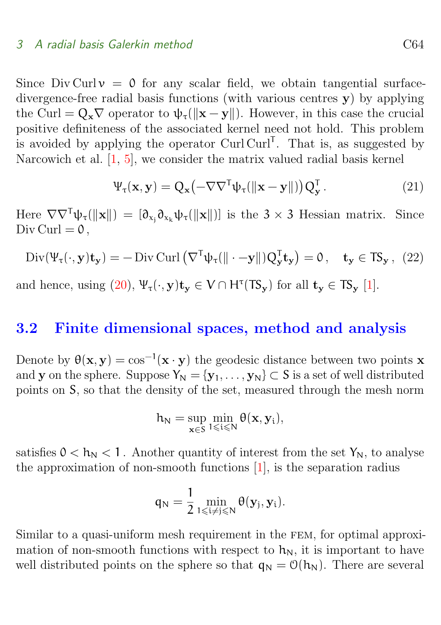<span id="page-8-2"></span>Since Div Curl  $v = 0$  for any scalar field, we obtain tangential surfacedivergence-free radial basis functions (with various centres y) by applying the Curl =  $Q_x \nabla$  operator to  $\psi_\tau(\|\mathbf{x} - \mathbf{y}\|)$ . However, in this case the crucial positive definiteness of the associated kernel need not hold. This problem is avoided by applying the operator  $Curl$  Curl  $Curl<sup>T</sup>$ . That is, as suggested by Narcowich et al. [\[1,](#page-14-3) [5\]](#page-15-2), we consider the matrix valued radial basis kernel

<span id="page-8-1"></span>
$$
\Psi_{\tau}(\mathbf{x}, \mathbf{y}) = Q_{\mathbf{x}} \left( -\nabla \nabla^{\mathsf{T}} \psi_{\tau}(\|\mathbf{x} - \mathbf{y}\|) \right) Q_{\mathbf{y}}^{\mathsf{T}}.
$$
\n(21)

Here  $\nabla \nabla^T \psi_\tau(\|\mathbf{x}\|) = [\partial_{x_i} \partial_{x_k} \psi_\tau(\|\mathbf{x}\|)]$  is the 3 × 3 Hessian matrix. Since Div Curl  $= 0$ ,

$$
\text{Div}(\Psi_{\tau}(\cdot, \mathbf{y}) \mathbf{t}_{\mathbf{y}}) = -\text{Div } \text{Curl} \left( \nabla^{\mathsf{T}} \psi_{\tau}(\|\cdot - \mathbf{y}\|) Q_{\mathbf{y}}^{\mathsf{T}} \mathbf{t}_{\mathbf{y}} \right) = 0 \,, \quad \mathbf{t}_{\mathbf{y}} \in \mathsf{T} \mathsf{S}_{\mathbf{y}} \,, \tag{22}
$$

and hence, using  $(20)$ ,  $\Psi_{\tau}(\cdot, y)$ t<sub>y</sub>  $\in V \cap H^{\tau}(TS_y)$  for all t<sub>y</sub>  $\in TS_y$  [\[1\]](#page-14-3).

### <span id="page-8-0"></span>3.2 Finite dimensional spaces, method and analysis

Denote by  $\theta(x, y) = \cos^{-1}(x \cdot y)$  the geodesic distance between two points x and y on the sphere. Suppose  $Y_N = \{y_1, \ldots, y_N\} \subset S$  is a set of well distributed points on S, so that the density of the set, measured through the mesh norm

$$
h_N=\sup_{\mathbf{x}\in S}\min_{1\leqslant i\leqslant N}\theta(\mathbf{x},\mathbf{y}_i),
$$

satisfies  $0 < h_N < 1$ . Another quantity of interest from the set  $Y_N$ , to analyse the approximation of non-smooth functions [\[1\]](#page-14-3), is the separation radius

$$
\mathfrak{q}_N=\frac{1}{2}\min_{1\leqslant i\neq j\leqslant N}\theta(\mathbf{y}_j,\mathbf{y}_i).
$$

Similar to a quasi-uniform mesh requirement in the FEM, for optimal approximation of non-smooth functions with respect to  $h_N$ , it is important to have well distributed points on the sphere so that  $q_N = O(h_N)$ . There are several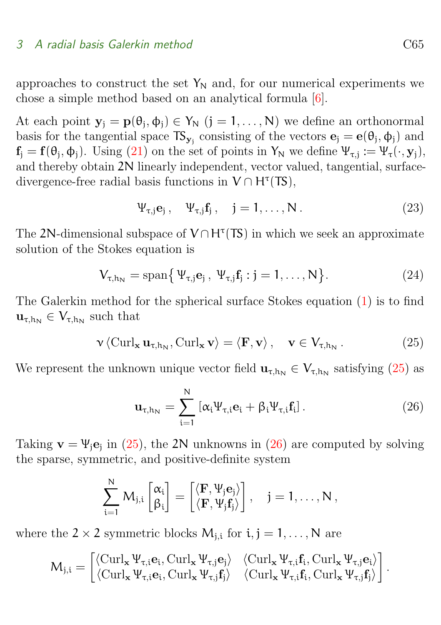<span id="page-9-3"></span>approaches to construct the set  $Y_N$  and, for our numerical experiments we chose a simple method based on an analytical formula [\[6\]](#page-15-5).

At each point  $y_j = p(\theta_j, \phi_j) \in Y_N$   $(j = 1, ..., N)$  we define an orthonormal basis for the tangential space  $TS_{y_j}$  consisting of the vectors  $\mathbf{e}_j = \mathbf{e}(\theta_j, \phi_j)$  and  $f_j = f(\theta_j, \phi_j)$ . Using [\(21\)](#page-8-1) on the set of points in  $Y_N$  we define  $\Psi_{\tau, j} := \Psi_{\tau}(\cdot, \mathbf{y}_j)$ , and thereby obtain 2N linearly independent, vector valued, tangential, surfacedivergence-free radial basis functions in  $V \cap H^{\tau}(TS)$ ,

<span id="page-9-2"></span>
$$
\Psi_{\tau,j}\mathbf{e}_j\,,\quad\Psi_{\tau,j}\mathbf{f}_j\,,\quad j=1,\ldots,N\,.
$$
 (23)

The 2N-dimensional subspace of  $V \cap H^{\tau}(TS)$  in which we seek an approximate solution of the Stokes equation is

$$
V_{\tau,h_N} = \text{span}\{ \Psi_{\tau,j} \mathbf{e}_j \, , \, \Psi_{\tau,j} \mathbf{f}_j : j = 1, \dots, N \}.
$$
 (24)

The Galerkin method for the spherical surface Stokes equation [\(1\)](#page-3-2) is to find  $\mathbf{u}_{\tau,h_N} \in V_{\tau,h_N}$  such that

<span id="page-9-0"></span>
$$
\mathbf{v} \langle \operatorname{Curl}_{\mathbf{x}} \mathbf{u}_{\tau,h_N}, \operatorname{Curl}_{\mathbf{x}} \mathbf{v} \rangle = \langle \mathbf{F}, \mathbf{v} \rangle, \quad \mathbf{v} \in V_{\tau,h_N}. \tag{25}
$$

We represent the unknown unique vector field  $\mathbf{u}_{\tau,h_N} \in V_{\tau,h_N}$  satisfying [\(25\)](#page-9-0) as

<span id="page-9-1"></span>
$$
\mathbf{u}_{\tau,h_N} = \sum_{i=1}^{N} \left[ \alpha_i \Psi_{\tau,i} \mathbf{e}_i + \beta_i \Psi_{\tau,i} \mathbf{f}_i \right]. \tag{26}
$$

Taking  $\mathbf{v} = \Psi_j \mathbf{e}_j$  in [\(25\)](#page-9-0), the 2N unknowns in [\(26\)](#page-9-1) are computed by solving the sparse, symmetric, and positive-definite system

$$
\sum_{i=1}^N M_{j,i} \begin{bmatrix} \alpha_i \\ \beta_i \end{bmatrix} = \begin{bmatrix} \langle \mathbf{F}, \Psi_j \mathbf{e}_j \rangle \\ \langle \mathbf{F}, \Psi_j \mathbf{f}_j \rangle \end{bmatrix}, \quad j=1,\ldots,N\,,
$$

where the  $2 \times 2$  symmetric blocks  $M_{j,i}$  for  $i, j = 1, \ldots, N$  are

$$
M_{j,i} = \begin{bmatrix} \langle \text{Curl}_\mathbf{x} \Psi_{\tau,i} \mathbf{e}_i, \text{Curl}_\mathbf{x} \Psi_{\tau,j} \mathbf{e}_j \rangle & \langle \text{Curl}_\mathbf{x} \Psi_{\tau,i} \mathbf{f}_i, \text{Curl}_\mathbf{x} \Psi_{\tau,j} \mathbf{e}_i \rangle \\ \langle \text{Curl}_\mathbf{x} \Psi_{\tau,i} \mathbf{e}_i, \text{Curl}_\mathbf{x} \Psi_{\tau,j} \mathbf{f}_j \rangle & \langle \text{Curl}_\mathbf{x} \Psi_{\tau,i} \mathbf{f}_i, \text{Curl}_\mathbf{x} \Psi_{\tau,j} \mathbf{f}_j \rangle \end{bmatrix}.
$$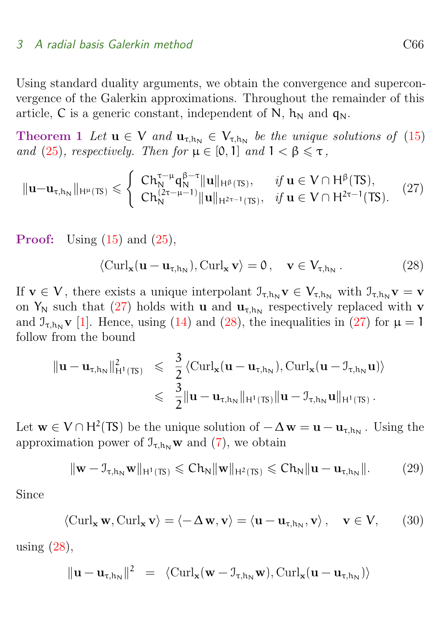<span id="page-10-5"></span>Using standard duality arguments, we obtain the convergence and superconvergence of the Galerkin approximations. Throughout the remainder of this article, C is a generic constant, independent of N,  $h_N$  and  $q_N$ .

**Theorem 1** Let  $u \in V$  and  $u_{\tau,h_N} \in V_{\tau,h_N}$  be the unique solutions of [\(15\)](#page-6-2) and [\(25\)](#page-9-0), respectively. Then for  $\mu \in [0, 1]$  and  $1 < \beta \leq \tau$ ,

<span id="page-10-0"></span>
$$
\|{\bf u}-{\bf u}_{\tau,h_N}\|_{H^{\mu}(TS)} \leqslant \begin{cases} \ C h_N^{\tau-\mu} q_N^{\beta-\tau} \|{\bf u}\|_{H^{\beta}(TS)}, & \text{if } {\bf u} \in V \cap H^{\beta}(TS), \\ C h_N^{(2\tau-\mu-1)} \|{\bf u}\|_{H^{2\tau-1}(TS)}, & \text{if } {\bf u} \in V \cap H^{2\tau-1}(TS). \end{cases} \tag{27}
$$

**Proof:** Using  $(15)$  and  $(25)$ ,

<span id="page-10-4"></span><span id="page-10-1"></span>
$$
\langle \mathrm{Curl}_{\mathbf{x}}(\mathbf{u} - \mathbf{u}_{\tau,h_N}), \mathrm{Curl}_{\mathbf{x}} \mathbf{v} \rangle = 0, \quad \mathbf{v} \in V_{\tau,h_N}. \tag{28}
$$

If  $v \in V$ , there exists a unique interpolant  $\mathcal{I}_{\tau,h_N} v \in V_{\tau,h_N}$  with  $\mathcal{I}_{\tau,h_N} v = v$ on  $Y_N$  such that [\(27\)](#page-10-0) holds with **u** and  $\mathbf{u}_{\tau,h_N}$  respectively replaced with **v** and  $\mathcal{I}_{\tau,h_N}$  v [\[1\]](#page-14-3). Hence, using [\(14\)](#page-6-1) and [\(28\)](#page-10-1), the inequalities in [\(27\)](#page-10-0) for  $\mu = 1$ follow from the bound

$$
\|\mathbf{u}-\mathbf{u}_{\tau,h_N}\|_{H^1(TS)}^2 \leq \frac{3}{2}\langle \mathrm{Curl}_{\mathbf{x}}(\mathbf{u}-\mathbf{u}_{\tau,h_N}), \mathrm{Curl}_{\mathbf{x}}(\mathbf{u}-\mathcal{I}_{\tau,h_N}\mathbf{u})\rangle \\ \leq \frac{3}{2}\|\mathbf{u}-\mathbf{u}_{\tau,h_N}\|_{H^1(TS)}\|\mathbf{u}-\mathcal{I}_{\tau,h_N}\mathbf{u}\|_{H^1(TS)}.
$$

Let  $\mathbf{w} \in V \cap H^2(TS)$  be the unique solution of  $-\Delta \mathbf{w} = \mathbf{u} - \mathbf{u}_{\tau, h_N}$ . Using the approximation power of  $\mathcal{I}_{\tau,h_N}$  w and [\(7\)](#page-4-1), we obtain

<span id="page-10-3"></span>
$$
\|\mathbf{w} - \mathbf{J}_{\tau,h_N}\mathbf{w}\|_{H^1(TS)} \leqslant Ch_N \|\mathbf{w}\|_{H^2(TS)} \leqslant Ch_N \|\mathbf{u} - \mathbf{u}_{\tau,h_N}\|.
$$
 (29)

Since

$$
\langle
$$
 Curl<sub>**x**</sub> **w**, Curl<sub>**x**</sub> **v** $\rangle$  =  $\langle -\Delta \mathbf{w}, \mathbf{v} \rangle = \langle \mathbf{u} - \mathbf{u}_{\tau, h_N}, \mathbf{v} \rangle$ , **v**  $\in$  **V**, (30)

using  $(28)$ ,

<span id="page-10-2"></span>
$$
\|\mathbf{u}-\mathbf{u}_{\tau,h_N}\|^2 = \langle \mathrm{Curl}_{\mathbf{x}}(\mathbf{w}-\mathcal{I}_{\tau,h_N}\mathbf{w}), \mathrm{Curl}_{\mathbf{x}}(\mathbf{u}-\mathbf{u}_{\tau,h_N})\rangle
$$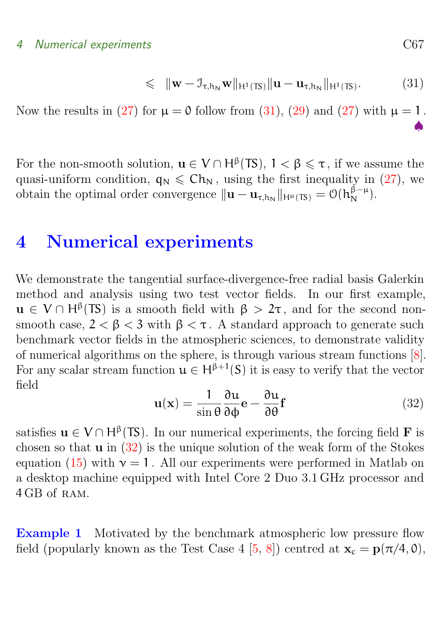### <span id="page-11-2"></span>4 Numerical experiments C67

$$
\leqslant \|\mathbf{w} - \mathbf{I}_{\tau,h_N}\mathbf{w}\|_{H^1(TS)} \|\mathbf{u} - \mathbf{u}_{\tau,h_N}\|_{H^1(TS)}.
$$
 (31)

Now the results in [\(27\)](#page-10-0) for  $\mu = 0$  follow from [\(31\)](#page-10-2), [\(29\)](#page-10-3) and (27) with  $\mu = 1$ .

♠

For the non-smooth solution,  $\mathbf{u} \in V \cap H^{\beta}(TS)$ ,  $1 < \beta \leq \tau$ , if we assume the quasi-uniform condition,  $q_N \leq C h_N$ , using the first inequality in [\(27\)](#page-10-0), we obtain the optimal order convergence  $\|\mathbf{u} - \mathbf{u}_{\tau,h_N}\|_{H^{\mu}(\mathsf{TS})} = \mathcal{O}(h_N^{\beta-\mu}).$ 

## <span id="page-11-0"></span>4 Numerical experiments

We demonstrate the tangential surface-divergence-free radial basis Galerkin method and analysis using two test vector fields. In our first example,  $u \in V \cap H^{\beta}(TS)$  is a smooth field with  $\beta > 2\tau$ , and for the second nonsmooth case,  $2 < \beta < 3$  with  $\beta < \tau$ . A standard approach to generate such benchmark vector fields in the atmospheric sciences, to demonstrate validity of numerical algorithms on the sphere, is through various stream functions [\[8\]](#page-15-6). For any scalar stream function  $u \in H^{\beta+1}(S)$  it is easy to verify that the vector field

<span id="page-11-1"></span>
$$
\mathbf{u}(\mathbf{x}) = \frac{1}{\sin \theta} \frac{\partial \mathbf{u}}{\partial \phi} \mathbf{e} - \frac{\partial \mathbf{u}}{\partial \theta} \mathbf{f}
$$
(32)

satisfies  $u \in V \cap H^{\beta}(TS)$ . In our numerical experiments, the forcing field **F** is chosen so that  $\bf{u}$  in  $(32)$  is the unique solution of the weak form of the Stokes equation [\(15\)](#page-6-2) with  $v = 1$ . All our experiments were performed in Matlab on a desktop machine equipped with Intel Core 2 Duo 3.1 GHz processor and 4 GB of ram.

Example 1 Motivated by the benchmark atmospheric low pressure flow field (popularly known as the Test Case 4 [\[5,](#page-15-2) [8\]](#page-15-6)) centred at  $\mathbf{x}_c = \mathbf{p}(\pi/4, 0)$ ,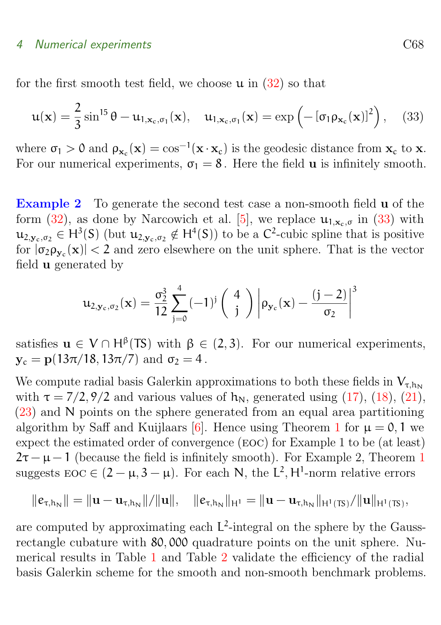#### <span id="page-12-1"></span>4 Numerical experiments C68

for the first smooth test field, we choose  $\mu$  in [\(32\)](#page-11-1) so that

<span id="page-12-0"></span>
$$
\mathbf{u}(\mathbf{x}) = \frac{2}{3} \sin^{15} \theta - \mathbf{u}_{1,\mathbf{x}_c,\sigma_1}(\mathbf{x}), \quad \mathbf{u}_{1,\mathbf{x}_c,\sigma_1}(\mathbf{x}) = \exp\left(-\left[\sigma_1 \rho_{\mathbf{x}_c}(\mathbf{x})\right]^2\right), \quad (33)
$$

where  $\sigma_1 > 0$  and  $\rho_{\mathbf{x}_c}(\mathbf{x}) = \cos^{-1}(\mathbf{x} \cdot \mathbf{x}_c)$  is the geodesic distance from  $\mathbf{x}_c$  to  $\mathbf{x}$ . For our numerical experiments,  $\sigma_1 = 8$ . Here the field **u** is infinitely smooth.

Example 2 To generate the second test case a non-smooth field **u** of the form  $(32)$ , as done by Narcowich et al. [\[5\]](#page-15-2), we replace  $\mathfrak{u}_{1,x_c,\sigma}$  in  $(33)$  with  $\mathfrak{u}_{2,\mathbf{y}_c,\sigma_2} \in H^3(S)$  (but  $\mathfrak{u}_{2,\mathbf{y}_c,\sigma_2} \notin H^4(S)$ ) to be a  $C^2$ -cubic spline that is positive for  $|\sigma_2 \rho_{y_c}(\mathbf{x})| < 2$  and zero elsewhere on the unit sphere. That is the vector field u generated by

$$
u_{2, \mathbf{y}_c, \sigma_2}(\mathbf{x}) = \frac{\sigma_2^3}{12} \sum_{j=0}^4 (-1)^j \begin{pmatrix} 4 \\ j \end{pmatrix} \left| \rho_{\mathbf{y}_c}(\mathbf{x}) - \frac{(j-2)}{\sigma_2} \right|^3
$$

satisfies  $u \in V \cap H^{\beta}(\mathsf{T}S)$  with  $\beta \in (2,3)$ . For our numerical experiments,  $y_c = p(13\pi/18, 13\pi/7)$  and  $\sigma_2 = 4$ .

We compute radial basis Galerkin approximations to both these fields in  $V_{\tau, h_0}$ with  $\tau = \frac{7}{2}$ , 9/2 and various values of  $h_N$ , generated using [\(17\)](#page-7-3), [\(18\)](#page-7-3), [\(21\)](#page-8-1), [\(23\)](#page-9-2) and N points on the sphere generated from an equal area partitioning algorithm by Saff and Kuijlaars [\[6\]](#page-15-5). Hence using Theorem [1](#page-10-4) for  $\mu = 0, 1$  we expect the estimated order of convergence (eoc) for Example 1 to be (at least)  $2\tau - \mu - 1$  $2\tau - \mu - 1$  (because the field is infinitely smooth). For Example 2, Theorem 1 suggests  $\text{EOC} \in (2 - \mu, 3 - \mu)$ . For each N, the L<sup>2</sup>, H<sup>1</sup>-norm relative errors

$$
\|e_{\tau,h_N}\| = \|u - u_{\tau,h_N}\|/\|u\|, \quad \|e_{\tau,h_N}\|_{H^1} = \|u - u_{\tau,h_N}\|_{H^1(TS)}/\|u\|_{H^1(TS)},
$$

are computed by approximating each  $L^2$ -integral on the sphere by the Gaussrectangle cubature with 80, 000 quadrature points on the unit sphere. Numerical results in Table [1](#page-13-1) and Table [2](#page-14-4) validate the efficiency of the radial basis Galerkin scheme for the smooth and non-smooth benchmark problems.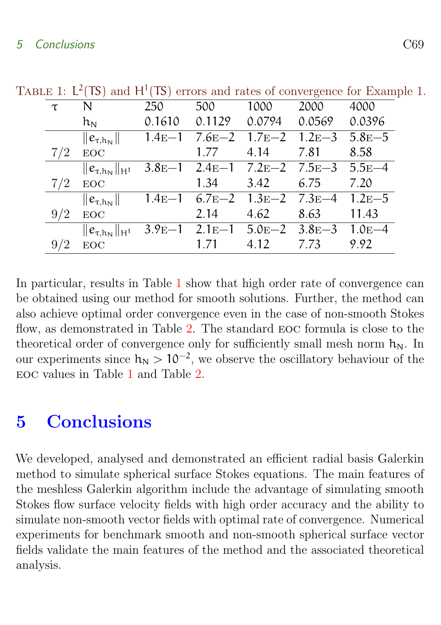| TABLE 1: $L^2(TS)$ and $H^1(TS)$ errors and rates of convergence for Example 1. |  |  |
|---------------------------------------------------------------------------------|--|--|
|---------------------------------------------------------------------------------|--|--|

<span id="page-13-1"></span>

| τ   | N                        | 250      | 500    | 1000               | 2000                                             | 4000   |
|-----|--------------------------|----------|--------|--------------------|--------------------------------------------------|--------|
|     | $\rm h_N$                | 0.1610   | 0.1129 | 0.0794             | 0.0569                                           | 0.0396 |
|     | $\ e_{\tau,h_N}\ $       | $1.4E-1$ |        |                    | $7.6E-2$ 1.7 $E-2$ 1.2 $E-3$ 5.8 $E-5$           |        |
| 7/2 | EOC                      |          | 1.77   | 4.14               | 7.81                                             | 8.58   |
|     | $  e_{\tau,h_N}  _{H^1}$ |          |        |                    | $3.8E-1$ $2.4E-1$ $7.2E-2$ $7.5E-3$ $5.5E-4$     |        |
| 7/2 | $_{\rm EOC}$             |          |        | $1.34 \qquad 3.42$ | 6.75                                             | 7.20   |
|     | $\ e_{\tau,h_N}\ $       |          |        |                    | $1.4E-1$ 6.7 $E-2$ 1.3 $E-2$ 7.3 $E-4$ 1.2 $E-5$ |        |
| 9/2 | $_{\rm EOC}$             |          | 2.14   | 4.62               | 8.63                                             | 11.43  |
|     | $\ e_{\tau,h_N}\ _{H^1}$ | $3.9E-1$ |        |                    | $2.1E-1$ $5.0E-2$ $3.8E-3$ $1.0E-4$              |        |
|     | EOC                      |          | 1.71   | 4.12               | 7.73                                             | 9.92   |

In particular, results in Table [1](#page-13-1) show that high order rate of convergence can be obtained using our method for smooth solutions. Further, the method can also achieve optimal order convergence even in the case of non-smooth Stokes flow, as demonstrated in Table [2.](#page-14-4) The standard eoc formula is close to the theoretical order of convergence only for sufficiently small mesh norm  $h_N$ . In our experiments since  $h_N > 10^{-2}$ , we observe the oscillatory behaviour of the eoc values in Table [1](#page-13-1) and Table [2.](#page-14-4)

## <span id="page-13-0"></span>5 Conclusions

We developed, analysed and demonstrated an efficient radial basis Galerkin method to simulate spherical surface Stokes equations. The main features of the meshless Galerkin algorithm include the advantage of simulating smooth Stokes flow surface velocity fields with high order accuracy and the ability to simulate non-smooth vector fields with optimal rate of convergence. Numerical experiments for benchmark smooth and non-smooth spherical surface vector fields validate the main features of the method and the associated theoretical analysis.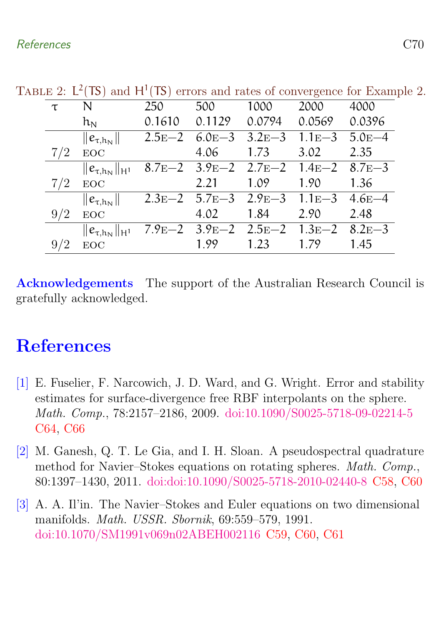TABLE 2:  $L^2(TS)$  and  $H^1(TS)$  errors and rates of convergence for Example 2.

<span id="page-14-4"></span>

| τ   | N                                                           | 250    | 500    | 1000                                             | 2000   | 4000   |
|-----|-------------------------------------------------------------|--------|--------|--------------------------------------------------|--------|--------|
|     | $\rm h_N$                                                   | 0.1610 | 0.1129 | 0.0794                                           | 0.0569 | 0.0396 |
|     | $\ e_{\tau,h_N}\ $                                          |        |        | $2.5E-2$ 6.0 $E-3$ 3.2 $E-3$ 1.1 $E-3$ 5.0 $E-4$ |        |        |
| 7/2 | <b>EOC</b>                                                  |        | 4.06   | 1.73                                             | 3.02   | 2.35   |
|     | $  e_{\tau,h_N}  _{H^1}$                                    |        |        | 8.7E-2 3.9E-2 2.7E-2 1.4E-2 8.7E-3               |        |        |
| 7/2 | EOC                                                         |        | 2.21   | 1.09                                             | 1.90   | 1.36   |
|     | $\ e_{\tau,h_N}\ $                                          |        |        | $2.3E-2$ 5.7 $E-3$ 2.9 $E-3$ 1.1 $E-3$ 4.6 $E-4$ |        |        |
| 9/2 | $_{\rm EOC}$                                                |        | 4.02   | 1.84                                             | 2.90   | 2.48   |
|     | $  e_{\tau,h_N}  _{H^1}$ 7.9E-2 3.9E-2 2.5E-2 1.3E-2 8.2E-3 |        |        |                                                  |        |        |
|     | EOC.                                                        |        | 1.99   | 1.23                                             | 1.79   | 1.45   |

Acknowledgements The support of the Australian Research Council is gratefully acknowledged.

## <span id="page-14-0"></span>References

- <span id="page-14-3"></span>[1] E. Fuselier, F. Narcowich, J. D. Ward, and G. Wright. Error and stability estimates for surface-divergence free RBF interpolants on the sphere. Math. Comp., 78:2157–2186, 2009. [doi:10.1090/S0025-5718-09-02214-5](http://dx.doi.org/10.1090/S0025-5718-09-02214-5) [C64,](#page-8-2) [C66](#page-10-5)
- <span id="page-14-1"></span>[2] M. Ganesh, Q. T. Le Gia, and I. H. Sloan. A pseudospectral quadrature method for Navier–Stokes equations on rotating spheres. Math. Comp., 80:1397–1430, 2011. [doi:doi:10.1090/S0025-5718-2010-02440-8](http://dx.doi.org/doi:10.1090/S0025-5718-2010-02440-8) [C58,](#page-2-0) [C60](#page-4-2)
- <span id="page-14-2"></span>[3] A. A. Il'in. The Navier–Stokes and Euler equations on two dimensional manifolds. Math. USSR. Sbornik, 69:559–579, 1991. [doi:10.1070/SM1991v069n02ABEH002116](http://dx.doi.org/10.1070/SM1991v069n02ABEH002116) [C59,](#page-3-3) [C60,](#page-4-2) [C61](#page-5-2)